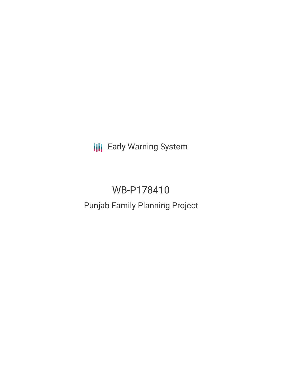**III** Early Warning System

# WB-P178410

# Punjab Family Planning Project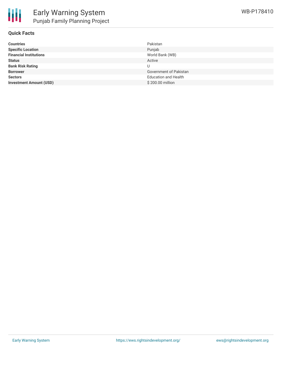

### **Quick Facts**

| <b>Countries</b>               | Pakistan                    |
|--------------------------------|-----------------------------|
| <b>Specific Location</b>       | Punjab                      |
| <b>Financial Institutions</b>  | World Bank (WB)             |
| <b>Status</b>                  | Active                      |
| <b>Bank Risk Rating</b>        |                             |
| <b>Borrower</b>                | Government of Pakistan      |
| <b>Sectors</b>                 | <b>Education and Health</b> |
| <b>Investment Amount (USD)</b> | \$200.00 million            |
|                                |                             |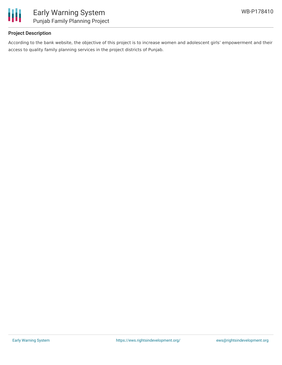

## **Project Description**

According to the bank website, the objective of this project is to increase women and adolescent girls' empowerment and their access to quality family planning services in the project districts of Punjab.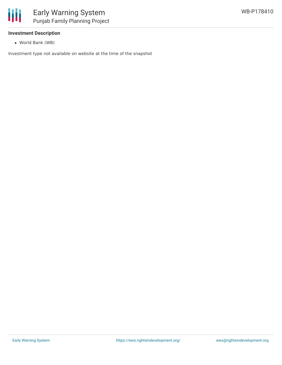

### **Investment Description**

World Bank (WB)

Investment type not available on website at the time of the snapshot